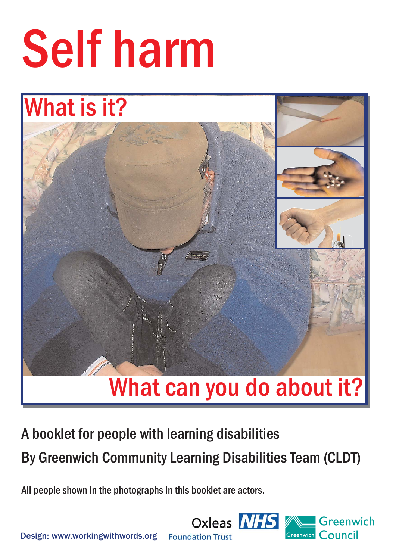# Self harm

## What is it?



A booklet for people with learning disabilities By Greenwich Community Learning Disabilities Team (CLDT)

All people shown in the photographs in this booklet are actors.



Design: www.workingwithwords.org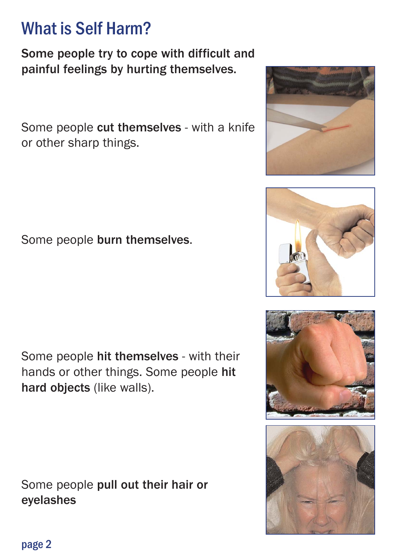page 2

## What is Self Harm?

Some people try to cope with difficult and painful feelings by hurting themselves.

Some people cut themselves - with a knife or other sharp things.

Some people burn themselves.

Some people hit themselves - with their hands or other things. Some people hit hard objects (like walls).

Some people pull out their hair or eyelashes





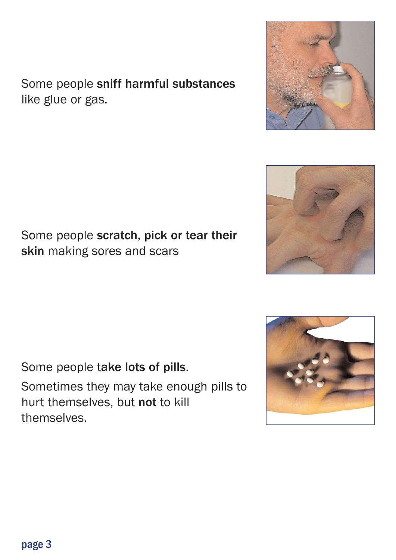Some people sniff harmful substances like glue or gas.

Some people scratch, pick or tear their skin making sores and scars

Some people take lots of pills.

Sometimes they may take enough pills to hurt themselves, but not to kill themselves.





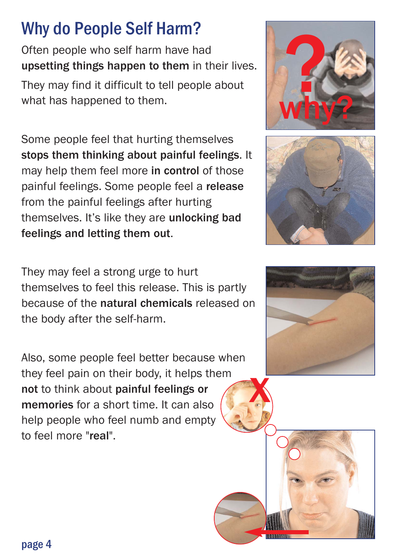## Why do People Self Harm?

Often people who self harm have had upsetting things happen to them in their lives.

They may find it difficult to tell people about what has happened to them.

Some people feel that hurting themselves stops them thinking about painful feelings. It may help them feel more in control of those painful feelings. Some people feel a release from the painful feelings after hurting themselves. It's like they are unlocking bad feelings and letting them out.

They may feel a strong urge to hurt themselves to feel this release. This is partly because of the natural chemicals released on the body after the self-harm.

Also, some people feel better because when they feel pain on their body, it helps them not to think about painful feelings or memories for a short time. It can also help people who feel numb and empty to feel more "real".







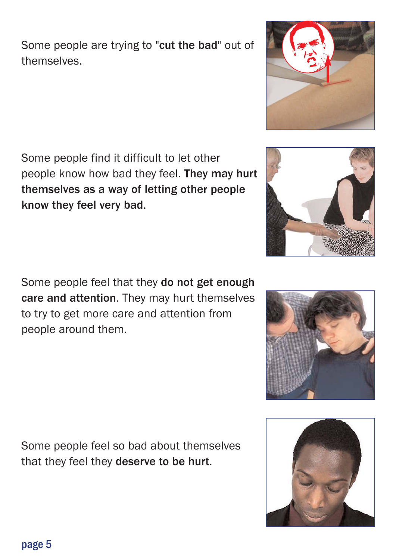themselves.

Some people are trying to "cut the bad" out of

Some people find it difficult to let other people know how bad they feel. They may hurt themselves as a way of letting other people know they feel very bad.

Some people feel that they do not get enough care and attention. They may hurt themselves to try to get more care and attention from people around them.

Some people feel so bad about themselves that they feel they deserve to be hurt.







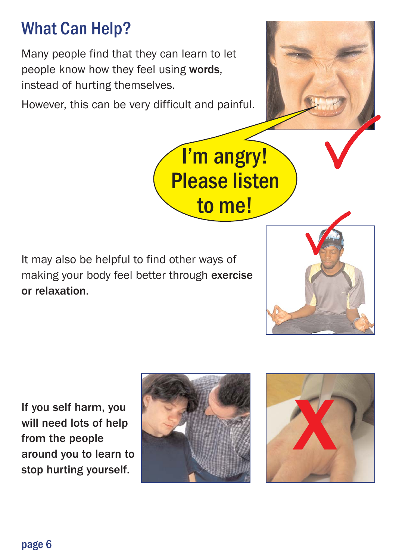## What Can Help?

Many people find that they can learn to let people know how they feel using words, instead of hurting themselves.

However, this can be very difficult and painful.

It may also be helpful to find other ways of making your body feel better through exercise or relaxation.

If you self harm, you will need lots of help from the people around you to learn to stop hurting yourself.





I'm angry!

Please listen

to me!





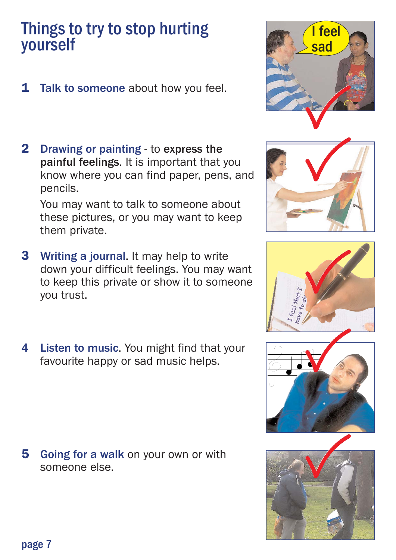### Things to try to stop hurting yourself

- **1 Talk to someone about how you feel.**
- 2 Drawing or painting to express the painful feelings. It is important that you know where you can find paper, pens, and pencils.

You may want to talk to someone about these pictures, or you may want to keep them private.

- **3** Writing a journal. It may help to write down your difficult feelings. You may want to keep this private or show it to someone you trust.
- 4 Listen to music. You might find that your favourite happy or sad music helps.

**5** Going for a walk on your own or with someone else.











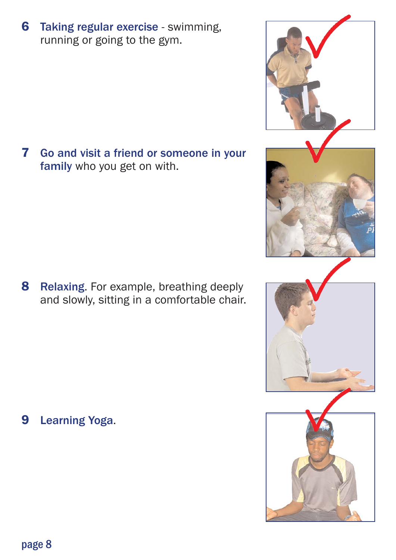running or going to the gym.

**6 Taking regular exercise - swimming,** 

7 Go and visit a friend or someone in your family who you get on with.

8 Relaxing. For example, breathing deeply and slowly, sitting in a comfortable chair.

9 Learning Yoga.







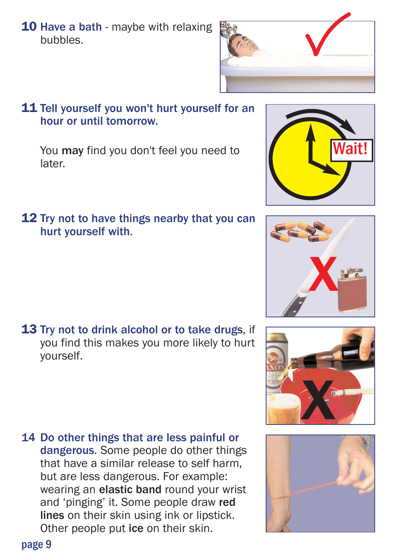**10 Have a bath** - maybe with relaxing bubbles.



#### 11 Tell yourself you won't hurt yourself for an hour or until tomorrow.

You may find you don't feel you need to later.

12 Try not to have things nearby that you can hurt yourself with.

**13 Try not to drink alcohol or to take drugs, if** you find this makes you more likely to hurt yourself.

14 Do other things that are less painful or dangerous. Some people do other things that have a similar release to self harm, but are less dangerous. For example: wearing an elastic band round your wrist and 'pinging' it. Some people draw red lines on their skin using ink or lipstick. Other people put ice on their skin.





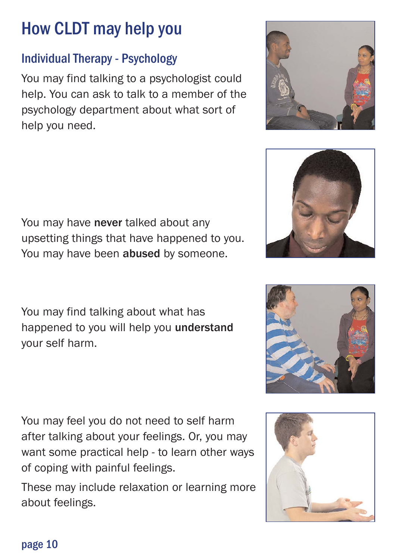## How CLDT may help you

#### Individual Therapy - Psychology

You may find talking to a psychologist could help. You can ask to talk to a member of the psychology department about what sort of help you need.

You may have never talked about any upsetting things that have happened to you. You may have been abused by someone.

You may find talking about what has happened to you will help you understand your self harm.

You may feel you do not need to self harm after talking about your feelings. Or, you may want some practical help - to learn other ways of coping with painful feelings.

These may include relaxation or learning more about feelings.